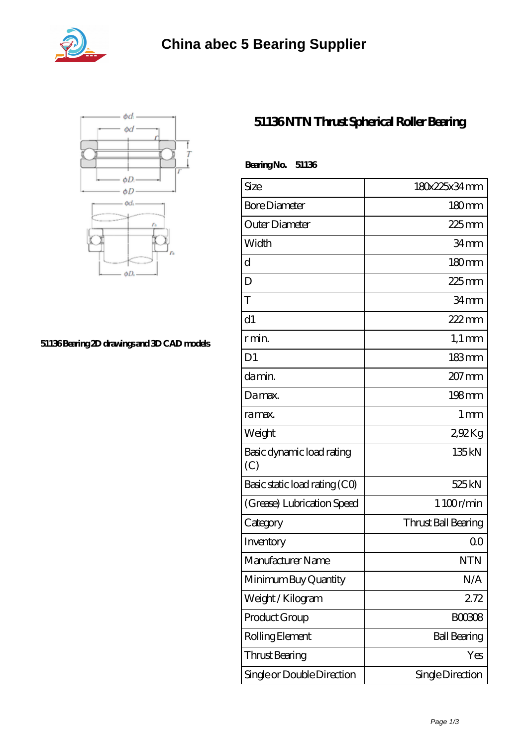



## **[51136 Bearing 2D drawings and 3D CAD models](https://abtrio.com/pic-1075477.html)**

## **[51136 NTN Thrust Spherical Roller Bearing](https://abtrio.com/cylindrical-roller-bearing/51136.html)**

| BearingNo.<br>51136              |                     |
|----------------------------------|---------------------|
| Size                             | 180x225x34mm        |
| <b>Bore Diameter</b>             | 180mm               |
| Outer Diameter                   | $225$ mm            |
| Width                            | 34mm                |
| d                                | $180 \text{mm}$     |
| D                                | $225$ mm            |
| T                                | 34mm                |
| d1                               | 222mm               |
| r min.                           | $1,1 \text{ mm}$    |
| D <sub>1</sub>                   | $183$ mm            |
| da min.                          | $207$ mm            |
| Damax.                           | 198mm               |
| ra max.                          | $1 \,\mathrm{mm}$   |
| Weight                           | 292Kg               |
| Basic dynamic load rating<br>(C) | 135kN               |
| Basic static load rating (CO)    | 525 kN              |
| (Grease) Lubrication Speed       | 1 100r/min          |
| Category                         | Thrust Ball Bearing |
| Inventory                        | 0 <sup>0</sup>      |
| Manufacturer Name                | NTN                 |
| Minimum Buy Quantity             | N/A                 |
| Weight / Kilogram                | 272                 |
| Product Group                    | <b>BOO3O8</b>       |
| Rolling Element                  | <b>Ball Bearing</b> |
| Thrust Bearing                   | Yes                 |
| Single or Double Direction       | Single Direction    |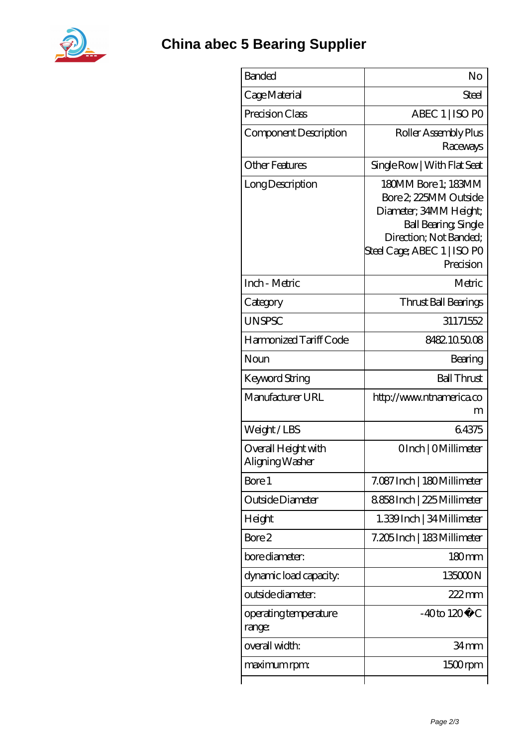

| <b>Banded</b>                          | No                                                                                                                                                                   |
|----------------------------------------|----------------------------------------------------------------------------------------------------------------------------------------------------------------------|
| Cage Material                          | Steel                                                                                                                                                                |
| Precision Class                        | ABEC 1   ISO PO                                                                                                                                                      |
| Component Description                  | Roller Assembly Plus<br>Raceways                                                                                                                                     |
| <b>Other Features</b>                  | Single Row   With Flat Seat                                                                                                                                          |
| Long Description                       | 180MM Bore 1; 183MM<br>Bore 2, 225MM Outside<br>Diameter; 34MM Height;<br>Ball Bearing, Single<br>Direction; Not Banded;<br>Steel Cage; ABEC 1   ISO PO<br>Precision |
| Inch - Metric                          | Metric                                                                                                                                                               |
| Category                               | Thrust Ball Bearings                                                                                                                                                 |
| <b>UNSPSC</b>                          | 31171552                                                                                                                                                             |
| Harmonized Tariff Code                 | 8482105008                                                                                                                                                           |
| Noun                                   | Bearing                                                                                                                                                              |
| Keyword String                         | <b>Ball Thrust</b>                                                                                                                                                   |
| Manufacturer URL                       | http://www.ntnamerica.co<br>m                                                                                                                                        |
| Weight/LBS                             | 64375                                                                                                                                                                |
| Overall Height with<br>Aligning Washer | OInch   OMillimeter                                                                                                                                                  |
| Bore 1                                 | 7.087 Inch   180 Millimeter                                                                                                                                          |
| Outside Diameter                       | 8858Inch   225 Millimeter                                                                                                                                            |
| Height                                 | 1.339Inch   34 Millimeter                                                                                                                                            |
| Bore 2                                 | 7.205 Inch   183 Millimeter                                                                                                                                          |
| bore diameter:                         | $180 \text{mm}$                                                                                                                                                      |
| dynamic load capacity:                 | 135000N                                                                                                                                                              |
| outside diameter:                      | $222$ mm                                                                                                                                                             |
| operating temperature<br>range:        | $-40$ to $120^{\circ}$ C                                                                                                                                             |
| overall width:                         | 34 mm                                                                                                                                                                |
| maximum rpm:                           | 1500rpm                                                                                                                                                              |
|                                        |                                                                                                                                                                      |